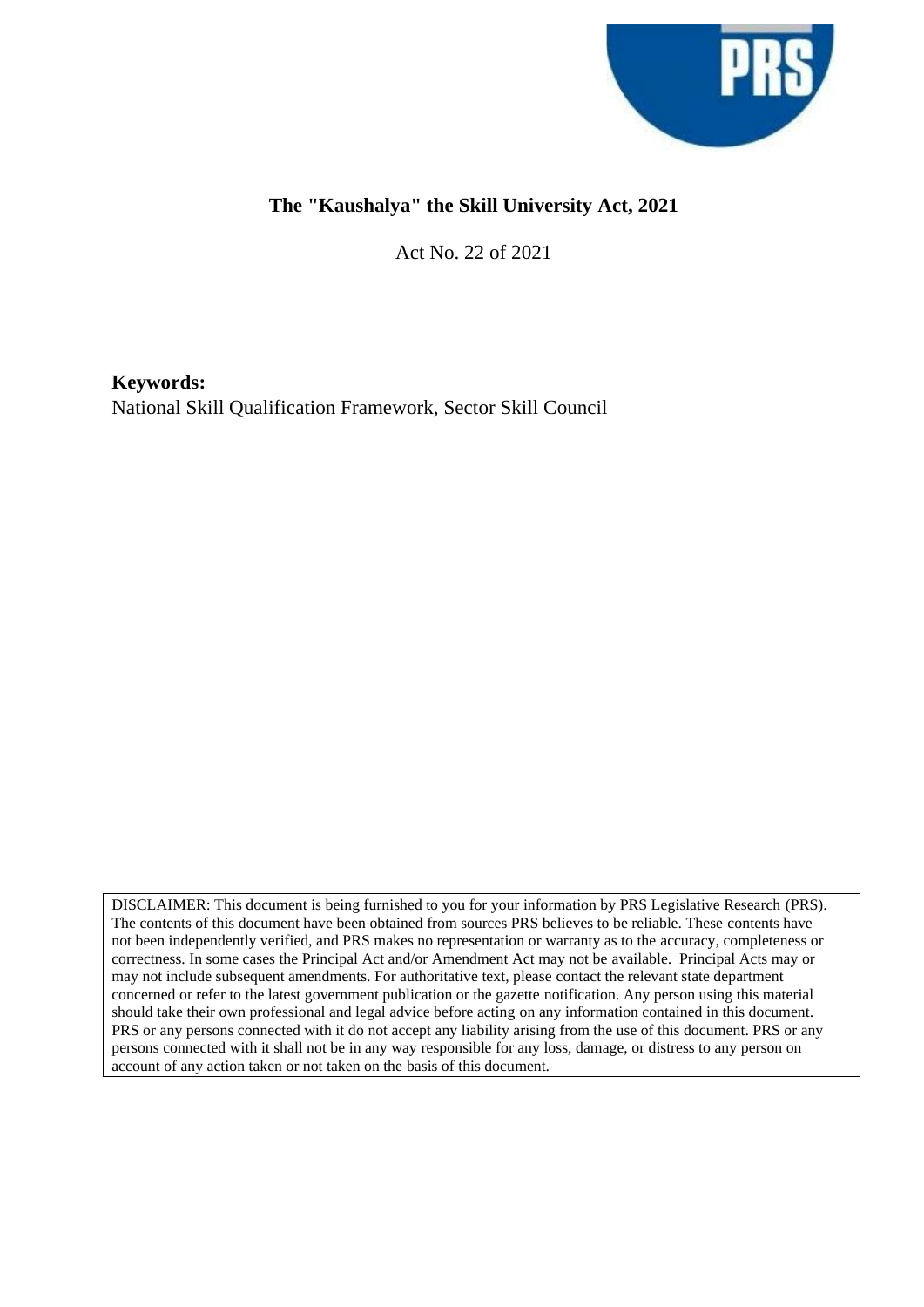

### **The "Kaushalya" the Skill University Act, 2021**

Act No. 22 of 2021

**Keywords:** National Skill Qualification Framework, Sector Skill Council

DISCLAIMER: This document is being furnished to you for your information by PRS Legislative Research (PRS). The contents of this document have been obtained from sources PRS believes to be reliable. These contents have not been independently verified, and PRS makes no representation or warranty as to the accuracy, completeness or correctness. In some cases the Principal Act and/or Amendment Act may not be available. Principal Acts may or may not include subsequent amendments. For authoritative text, please contact the relevant state department concerned or refer to the latest government publication or the gazette notification. Any person using this material should take their own professional and legal advice before acting on any information contained in this document. PRS or any persons connected with it do not accept any liability arising from the use of this document. PRS or any persons connected with it shall not be in any way responsible for any loss, damage, or distress to any person on account of any action taken or not taken on the basis of this document.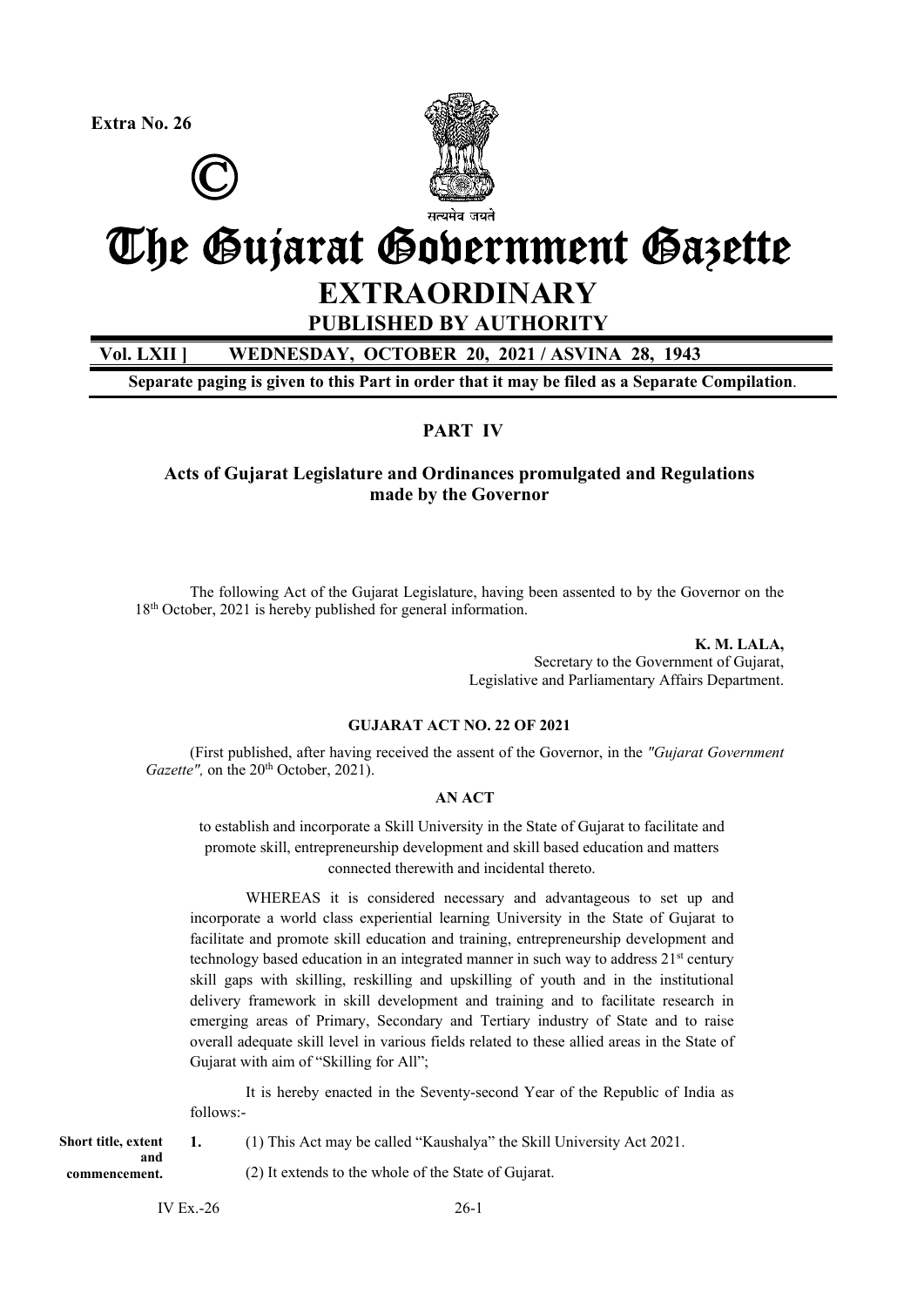**Extra No. 26**





# The Gujarat Government Gazette **EXTRAORDINARY**

## **PUBLISHED BY AUTHORITY**

**Vol. LXII ] WEDNESDAY, OCTOBER 20, 2021 / ASVINA 28, 1943** 

**Separate paging is given to this Part in order that it may be filed as a Separate Compilation**.

#### **PART IV**

**Acts of Gujarat Legislature and Ordinances promulgated and Regulations made by the Governor** 

The following Act of the Gujarat Legislature, having been assented to by the Governor on the 18<sup>th</sup> October, 2021 is hereby published for general information.

> **K. M. LALA,**  Secretary to the Government of Gujarat, Legislative and Parliamentary Affairs Department.

#### **GUJARAT ACT NO. 22 OF 2021**

 (First published, after having received the assent of the Governor, in the *"Gujarat Government Gazette"*, on the 20<sup>th</sup> October, 2021).

#### **AN ACT**

to establish and incorporate a Skill University in the State of Gujarat to facilitate and promote skill, entrepreneurship development and skill based education and matters connected therewith and incidental thereto.

WHEREAS it is considered necessary and advantageous to set up and incorporate a world class experiential learning University in the State of Gujarat to facilitate and promote skill education and training, entrepreneurship development and technology based education in an integrated manner in such way to address 21st century skill gaps with skilling, reskilling and upskilling of youth and in the institutional delivery framework in skill development and training and to facilitate research in emerging areas of Primary, Secondary and Tertiary industry of State and to raise overall adequate skill level in various fields related to these allied areas in the State of Gujarat with aim of "Skilling for All";

 It is hereby enacted in the Seventy-second Year of the Republic of India as follows:-

**1.** (1) This Act may be called "Kaushalya" the Skill University Act 2021. (2) It extends to the whole of the State of Gujarat. **Short title, extent and commencement.** 

IV Ex.  $-26$  26-1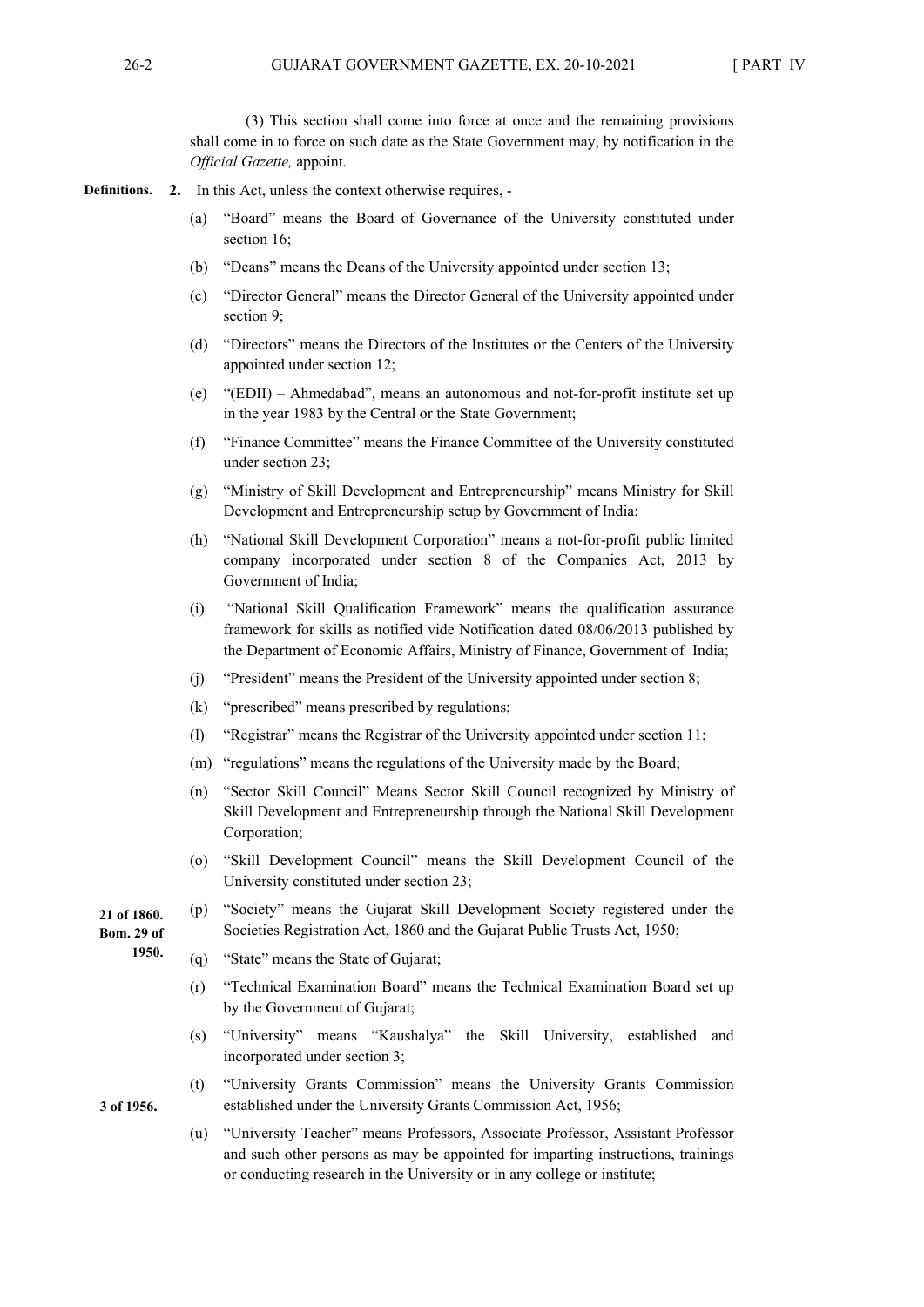(3) This section shall come into force at once and the remaining provisions shall come in to force on such date as the State Government may, by notification in the *Official Gazette,* appoint.

- **2.** In this Act, unless the context otherwise requires, **Definitions.** 
	- (a) "Board" means the Board of Governance of the University constituted under section 16;
	- (b) "Deans" means the Deans of the University appointed under section 13;
	- (c) "Director General" means the Director General of the University appointed under section 9;
	- (d) "Directors" means the Directors of the Institutes or the Centers of the University appointed under section 12;
	- (e) "(EDII) Ahmedabad", means an autonomous and not-for-profit institute set up in the year 1983 by the Central or the State Government;
	- (f) "Finance Committee" means the Finance Committee of the University constituted under section 23;
	- (g) "Ministry of Skill Development and Entrepreneurship" means Ministry for Skill Development and Entrepreneurship setup by Government of India;
	- (h) "National Skill Development Corporation" means a not-for-profit public limited company incorporated under section 8 of the Companies Act, 2013 by Government of India;
	- (i) "National Skill Qualification Framework" means the qualification assurance framework for skills as notified vide Notification dated 08/06/2013 published by the Department of Economic Affairs, Ministry of Finance, Government of India;
	- (j) "President" means the President of the University appointed under section 8;
	- (k) "prescribed" means prescribed by regulations;
	- (l) "Registrar" means the Registrar of the University appointed under section 11;
	- (m) "regulations" means the regulations of the University made by the Board;
	- (n) "Sector Skill Council" Means Sector Skill Council recognized by Ministry of Skill Development and Entrepreneurship through the National Skill Development Corporation;
	- (o) "Skill Development Council" means the Skill Development Council of the University constituted under section 23;
	- (p) "Society" means the Gujarat Skill Development Society registered under the Societies Registration Act, 1860 and the Gujarat Public Trusts Act, 1950; **21 of 1860.** 
		- (q) "State" means the State of Gujarat;
		- (r) "Technical Examination Board" means the Technical Examination Board set up by the Government of Gujarat;
		- (s) "University" means "Kaushalya" the Skill University, established and incorporated under section 3;
		- (t) "University Grants Commission" means the University Grants Commission established under the University Grants Commission Act, 1956;
			- (u) "University Teacher" means Professors, Associate Professor, Assistant Professor and such other persons as may be appointed for imparting instructions, trainings or conducting research in the University or in any college or institute;
- **Bom. 29 of**
- **1950.**
- **3 of 1956.**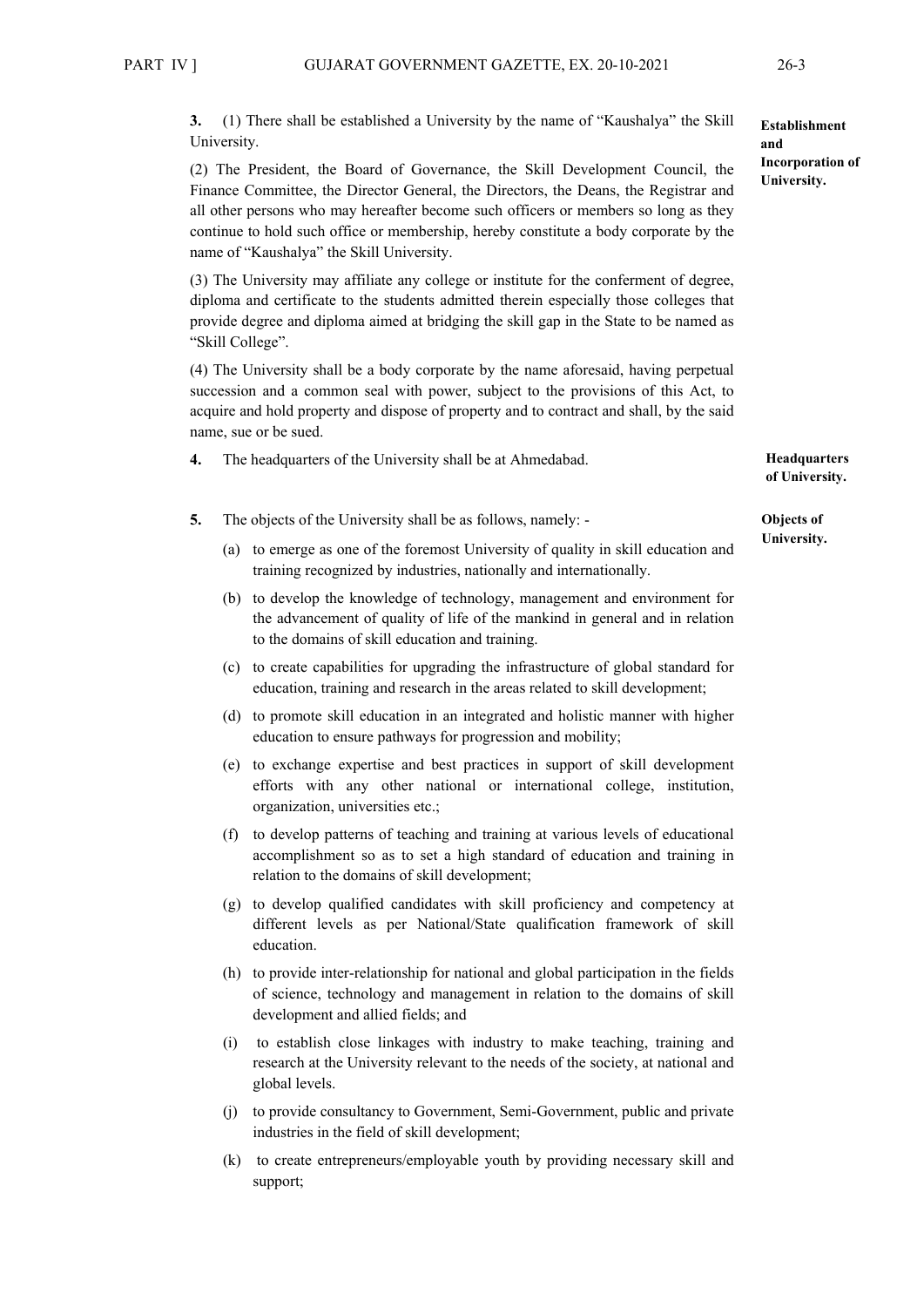**3.** (1) There shall be established a University by the name of "Kaushalya" the Skill University.

(2) The President, the Board of Governance, the Skill Development Council, the Finance Committee, the Director General, the Directors, the Deans, the Registrar and all other persons who may hereafter become such officers or members so long as they continue to hold such office or membership, hereby constitute a body corporate by the name of "Kaushalya" the Skill University.

(3) The University may affiliate any college or institute for the conferment of degree, diploma and certificate to the students admitted therein especially those colleges that provide degree and diploma aimed at bridging the skill gap in the State to be named as "Skill College".

(4) The University shall be a body corporate by the name aforesaid, having perpetual succession and a common seal with power, subject to the provisions of this Act, to acquire and hold property and dispose of property and to contract and shall, by the said name, sue or be sued.

- **4.** The headquarters of the University shall be at Ahmedabad.
- **5.** The objects of the University shall be as follows, namely:
	- (a) to emerge as one of the foremost University of quality in skill education and training recognized by industries, nationally and internationally.
	- (b) to develop the knowledge of technology, management and environment for the advancement of quality of life of the mankind in general and in relation to the domains of skill education and training.
	- (c) to create capabilities for upgrading the infrastructure of global standard for education, training and research in the areas related to skill development;
	- (d) to promote skill education in an integrated and holistic manner with higher education to ensure pathways for progression and mobility;
	- (e) to exchange expertise and best practices in support of skill development efforts with any other national or international college, institution, organization, universities etc.;
	- (f) to develop patterns of teaching and training at various levels of educational accomplishment so as to set a high standard of education and training in relation to the domains of skill development;
	- (g) to develop qualified candidates with skill proficiency and competency at different levels as per National/State qualification framework of skill education.
	- (h) to provide inter-relationship for national and global participation in the fields of science, technology and management in relation to the domains of skill development and allied fields; and
	- (i) to establish close linkages with industry to make teaching, training and research at the University relevant to the needs of the society, at national and global levels.
	- (j) to provide consultancy to Government, Semi-Government, public and private industries in the field of skill development;
	- (k) to create entrepreneurs/employable youth by providing necessary skill and support;

**Headquarters of University.**

#### **Objects of University.**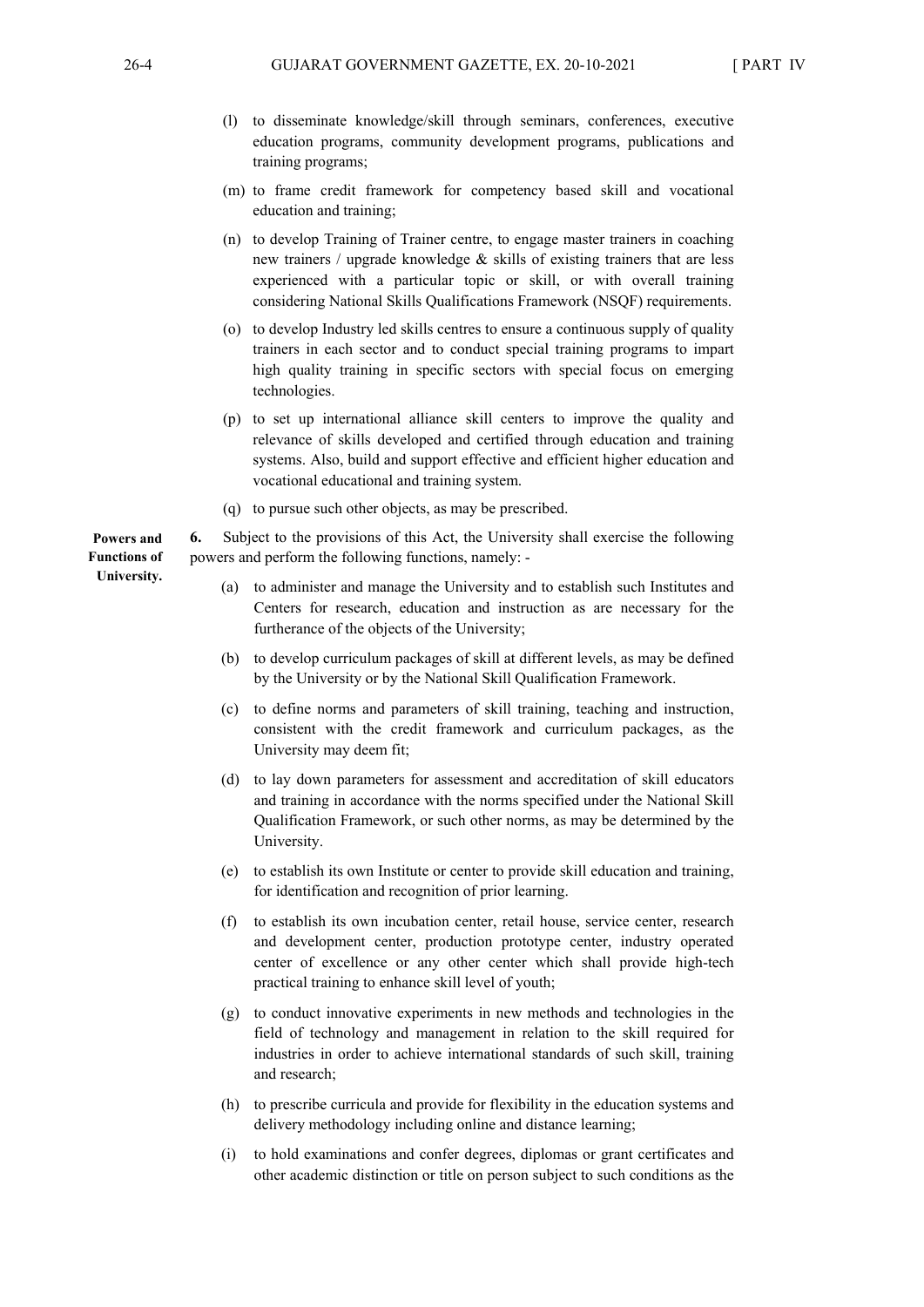- (l) to disseminate knowledge/skill through seminars, conferences, executive education programs, community development programs, publications and training programs;
- (m) to frame credit framework for competency based skill and vocational education and training;
- (n) to develop Training of Trainer centre, to engage master trainers in coaching new trainers / upgrade knowledge & skills of existing trainers that are less experienced with a particular topic or skill, or with overall training considering National Skills Qualifications Framework (NSQF) requirements.
- (o) to develop Industry led skills centres to ensure a continuous supply of quality trainers in each sector and to conduct special training programs to impart high quality training in specific sectors with special focus on emerging technologies.
- (p) to set up international alliance skill centers to improve the quality and relevance of skills developed and certified through education and training systems. Also, build and support effective and efficient higher education and vocational educational and training system.
- (q) to pursue such other objects, as may be prescribed.

**6.** Subject to the provisions of this Act, the University shall exercise the following powers and perform the following functions, namely: -

- (a) to administer and manage the University and to establish such Institutes and Centers for research, education and instruction as are necessary for the furtherance of the objects of the University;
- (b) to develop curriculum packages of skill at different levels, as may be defined by the University or by the National Skill Qualification Framework.
- (c) to define norms and parameters of skill training, teaching and instruction, consistent with the credit framework and curriculum packages, as the University may deem fit;
- (d) to lay down parameters for assessment and accreditation of skill educators and training in accordance with the norms specified under the National Skill Qualification Framework, or such other norms, as may be determined by the University.
- (e) to establish its own Institute or center to provide skill education and training, for identification and recognition of prior learning.
- (f) to establish its own incubation center, retail house, service center, research and development center, production prototype center, industry operated center of excellence or any other center which shall provide high-tech practical training to enhance skill level of youth;
- (g) to conduct innovative experiments in new methods and technologies in the field of technology and management in relation to the skill required for industries in order to achieve international standards of such skill, training and research;
- (h) to prescribe curricula and provide for flexibility in the education systems and delivery methodology including online and distance learning;
- (i) to hold examinations and confer degrees, diplomas or grant certificates and other academic distinction or title on person subject to such conditions as the

**Powers and Functions of University.**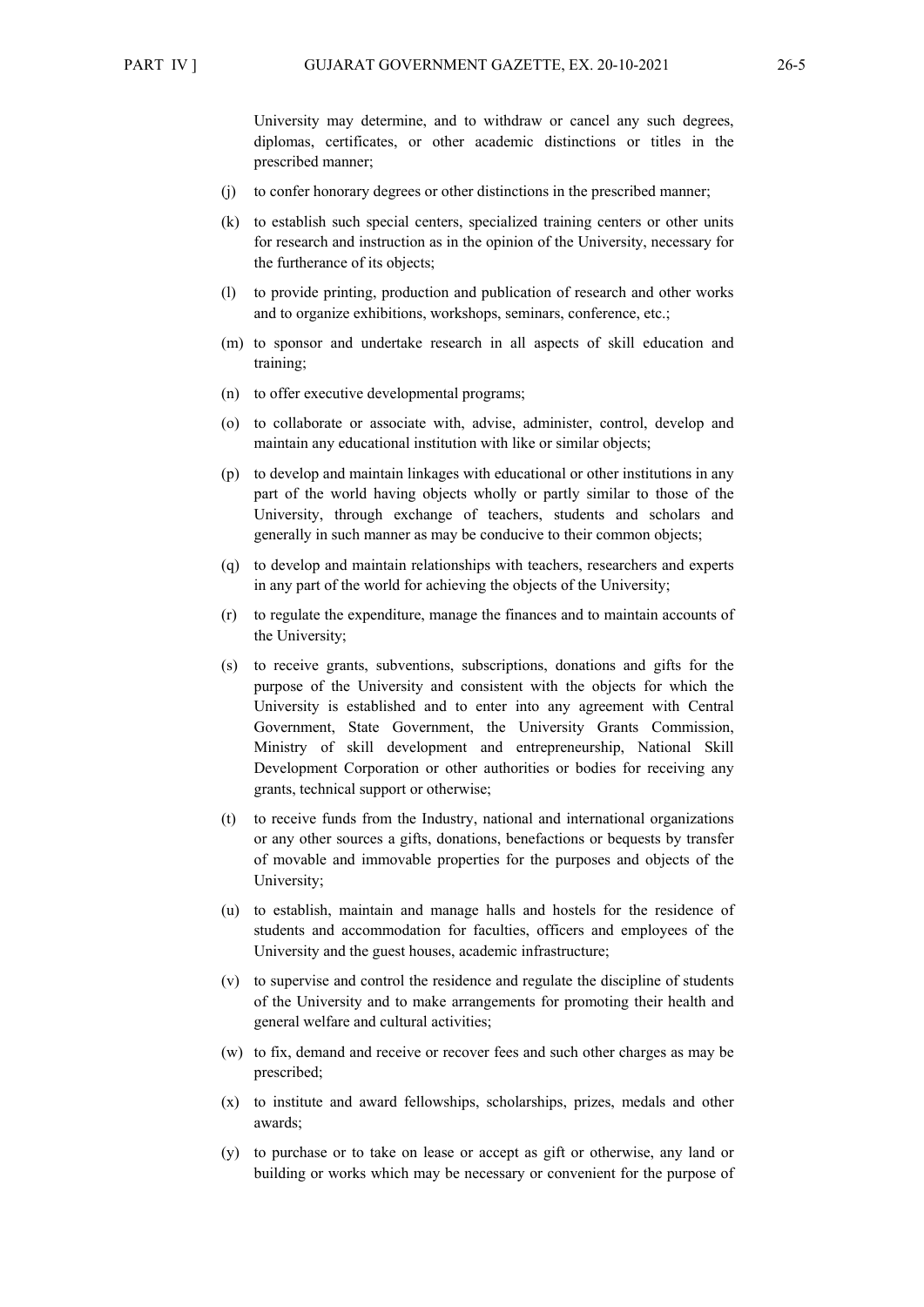University may determine, and to withdraw or cancel any such degrees, diplomas, certificates, or other academic distinctions or titles in the prescribed manner;

- (j) to confer honorary degrees or other distinctions in the prescribed manner;
- (k) to establish such special centers, specialized training centers or other units for research and instruction as in the opinion of the University, necessary for the furtherance of its objects;
- (l) to provide printing, production and publication of research and other works and to organize exhibitions, workshops, seminars, conference, etc.;
- (m) to sponsor and undertake research in all aspects of skill education and training;
- (n) to offer executive developmental programs;
- (o) to collaborate or associate with, advise, administer, control, develop and maintain any educational institution with like or similar objects;
- (p) to develop and maintain linkages with educational or other institutions in any part of the world having objects wholly or partly similar to those of the University, through exchange of teachers, students and scholars and generally in such manner as may be conducive to their common objects;
- (q) to develop and maintain relationships with teachers, researchers and experts in any part of the world for achieving the objects of the University;
- (r) to regulate the expenditure, manage the finances and to maintain accounts of the University;
- (s) to receive grants, subventions, subscriptions, donations and gifts for the purpose of the University and consistent with the objects for which the University is established and to enter into any agreement with Central Government, State Government, the University Grants Commission, Ministry of skill development and entrepreneurship, National Skill Development Corporation or other authorities or bodies for receiving any grants, technical support or otherwise;
- (t) to receive funds from the Industry, national and international organizations or any other sources a gifts, donations, benefactions or bequests by transfer of movable and immovable properties for the purposes and objects of the University;
- (u) to establish, maintain and manage halls and hostels for the residence of students and accommodation for faculties, officers and employees of the University and the guest houses, academic infrastructure;
- (v) to supervise and control the residence and regulate the discipline of students of the University and to make arrangements for promoting their health and general welfare and cultural activities;
- (w) to fix, demand and receive or recover fees and such other charges as may be prescribed;
- (x) to institute and award fellowships, scholarships, prizes, medals and other awards;
- (y) to purchase or to take on lease or accept as gift or otherwise, any land or building or works which may be necessary or convenient for the purpose of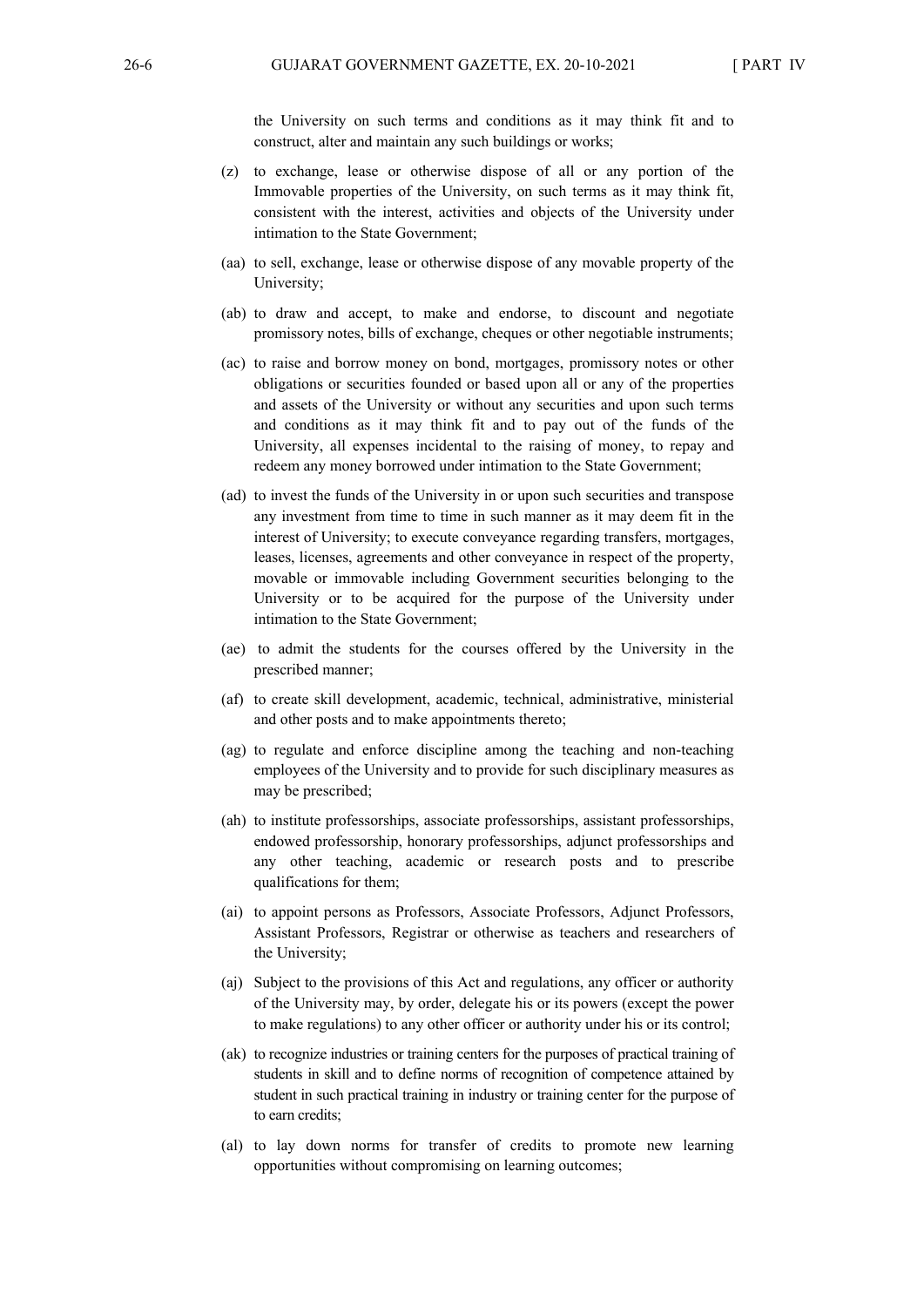the University on such terms and conditions as it may think fit and to construct, alter and maintain any such buildings or works;

- (z) to exchange, lease or otherwise dispose of all or any portion of the Immovable properties of the University, on such terms as it may think fit, consistent with the interest, activities and objects of the University under intimation to the State Government;
- (aa) to sell, exchange, lease or otherwise dispose of any movable property of the University;
- (ab) to draw and accept, to make and endorse, to discount and negotiate promissory notes, bills of exchange, cheques or other negotiable instruments;
- (ac) to raise and borrow money on bond, mortgages, promissory notes or other obligations or securities founded or based upon all or any of the properties and assets of the University or without any securities and upon such terms and conditions as it may think fit and to pay out of the funds of the University, all expenses incidental to the raising of money, to repay and redeem any money borrowed under intimation to the State Government;
- (ad) to invest the funds of the University in or upon such securities and transpose any investment from time to time in such manner as it may deem fit in the interest of University; to execute conveyance regarding transfers, mortgages, leases, licenses, agreements and other conveyance in respect of the property, movable or immovable including Government securities belonging to the University or to be acquired for the purpose of the University under intimation to the State Government;
- (ae) to admit the students for the courses offered by the University in the prescribed manner;
- (af) to create skill development, academic, technical, administrative, ministerial and other posts and to make appointments thereto;
- (ag) to regulate and enforce discipline among the teaching and non-teaching employees of the University and to provide for such disciplinary measures as may be prescribed;
- (ah) to institute professorships, associate professorships, assistant professorships, endowed professorship, honorary professorships, adjunct professorships and any other teaching, academic or research posts and to prescribe qualifications for them;
- (ai) to appoint persons as Professors, Associate Professors, Adjunct Professors, Assistant Professors, Registrar or otherwise as teachers and researchers of the University;
- (aj) Subject to the provisions of this Act and regulations, any officer or authority of the University may, by order, delegate his or its powers (except the power to make regulations) to any other officer or authority under his or its control;
- (ak) to recognize industries or training centers for the purposes of practical training of students in skill and to define norms of recognition of competence attained by student in such practical training in industry or training center for the purpose of to earn credits;
- (al) to lay down norms for transfer of credits to promote new learning opportunities without compromising on learning outcomes;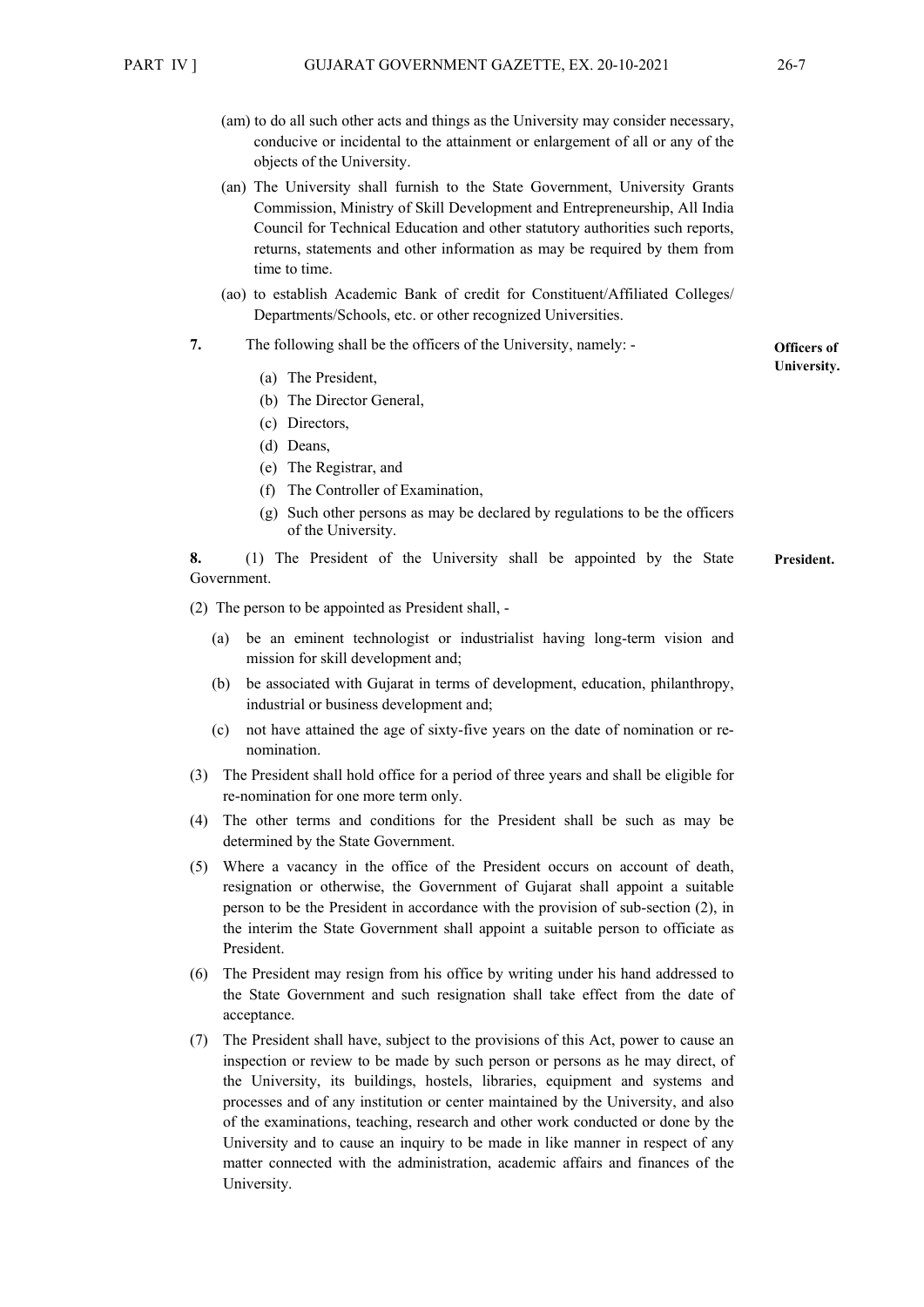- (am) to do all such other acts and things as the University may consider necessary, conducive or incidental to the attainment or enlargement of all or any of the objects of the University.
- (an) The University shall furnish to the State Government, University Grants Commission, Ministry of Skill Development and Entrepreneurship, All India Council for Technical Education and other statutory authorities such reports, returns, statements and other information as may be required by them from time to time.
- (ao) to establish Academic Bank of credit for Constituent/Affiliated Colleges/ Departments/Schools, etc. or other recognized Universities.
- **7.** The following shall be the officers of the University, namely:
	- (a) The President,
	- (b) The Director General,
	- (c) Directors,
	- (d) Deans,
	- (e) The Registrar, and
	- (f) The Controller of Examination,
	- (g) Such other persons as may be declared by regulations to be the officers of the University.

**8.** (1) The President of the University shall be appointed by the State Government. **President.** 

(2) The person to be appointed as President shall, -

- (a) be an eminent technologist or industrialist having long-term vision and mission for skill development and;
- (b) be associated with Gujarat in terms of development, education, philanthropy, industrial or business development and;
- (c) not have attained the age of sixty-five years on the date of nomination or renomination.
- (3) The President shall hold office for a period of three years and shall be eligible for re-nomination for one more term only.
- (4) The other terms and conditions for the President shall be such as may be determined by the State Government.
- (5) Where a vacancy in the office of the President occurs on account of death, resignation or otherwise, the Government of Gujarat shall appoint a suitable person to be the President in accordance with the provision of sub-section (2), in the interim the State Government shall appoint a suitable person to officiate as President.
- (6) The President may resign from his office by writing under his hand addressed to the State Government and such resignation shall take effect from the date of acceptance.
- (7) The President shall have, subject to the provisions of this Act, power to cause an inspection or review to be made by such person or persons as he may direct, of the University, its buildings, hostels, libraries, equipment and systems and processes and of any institution or center maintained by the University, and also of the examinations, teaching, research and other work conducted or done by the University and to cause an inquiry to be made in like manner in respect of any matter connected with the administration, academic affairs and finances of the University.

**Officers of University.**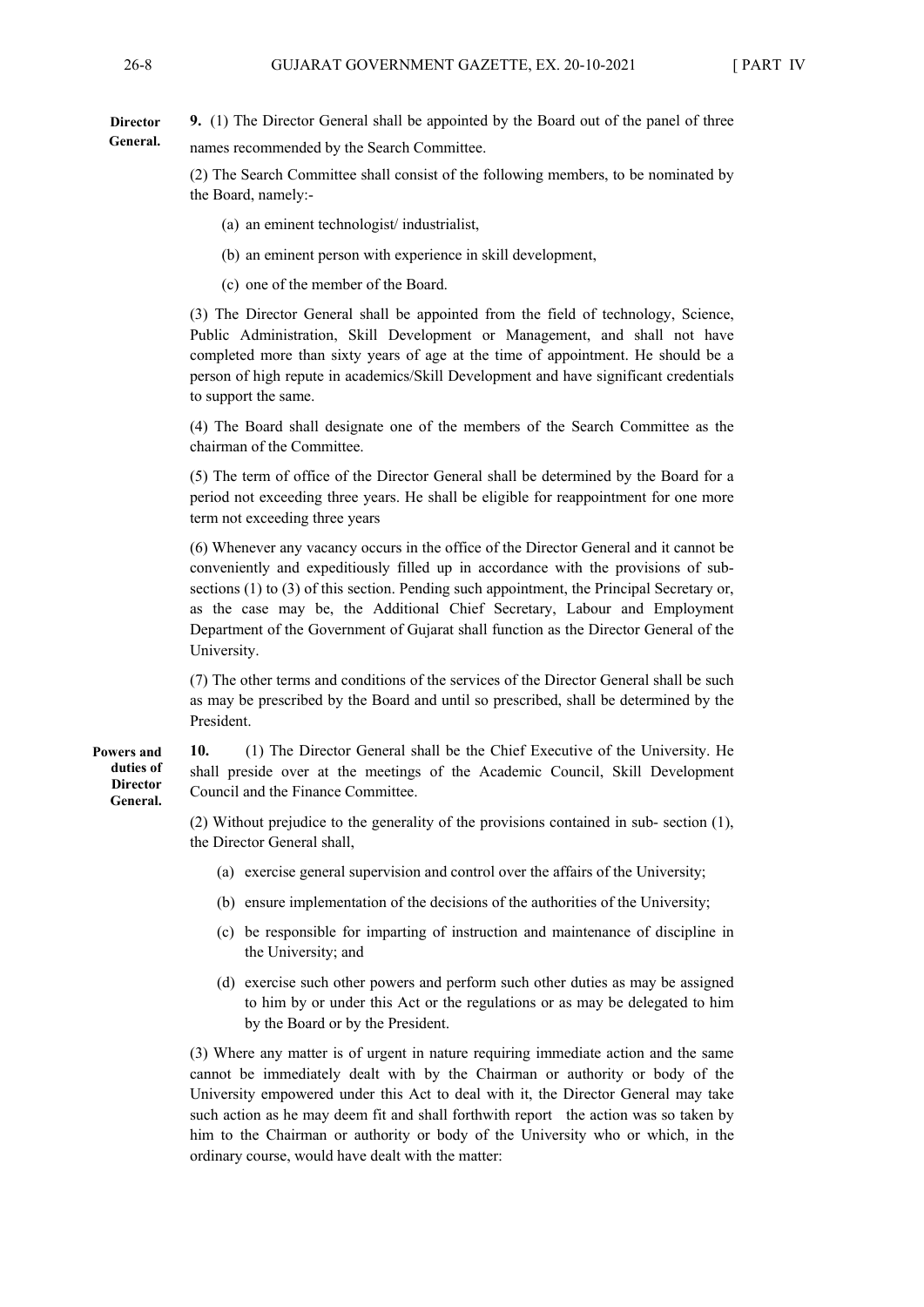**9.** (1) The Director General shall be appointed by the Board out of the panel of three names recommended by the Search Committee. **Director General.** 

> (2) The Search Committee shall consist of the following members, to be nominated by the Board, namely:-

(a) an eminent technologist/ industrialist,

(b) an eminent person with experience in skill development,

(c) one of the member of the Board.

(3) The Director General shall be appointed from the field of technology, Science, Public Administration, Skill Development or Management, and shall not have completed more than sixty years of age at the time of appointment. He should be a person of high repute in academics/Skill Development and have significant credentials to support the same.

(4) The Board shall designate one of the members of the Search Committee as the chairman of the Committee.

(5) The term of office of the Director General shall be determined by the Board for a period not exceeding three years. He shall be eligible for reappointment for one more term not exceeding three years

(6) Whenever any vacancy occurs in the office of the Director General and it cannot be conveniently and expeditiously filled up in accordance with the provisions of subsections (1) to (3) of this section. Pending such appointment, the Principal Secretary or, as the case may be, the Additional Chief Secretary, Labour and Employment Department of the Government of Gujarat shall function as the Director General of the University.

(7) The other terms and conditions of the services of the Director General shall be such as may be prescribed by the Board and until so prescribed, shall be determined by the President.

**10.** (1) The Director General shall be the Chief Executive of the University. He shall preside over at the meetings of the Academic Council, Skill Development Council and the Finance Committee.

(2) Without prejudice to the generality of the provisions contained in sub- section (1), the Director General shall,

- (a) exercise general supervision and control over the affairs of the University;
- (b) ensure implementation of the decisions of the authorities of the University;
- (c) be responsible for imparting of instruction and maintenance of discipline in the University; and
- (d) exercise such other powers and perform such other duties as may be assigned to him by or under this Act or the regulations or as may be delegated to him by the Board or by the President.

(3) Where any matter is of urgent in nature requiring immediate action and the same cannot be immediately dealt with by the Chairman or authority or body of the University empowered under this Act to deal with it, the Director General may take such action as he may deem fit and shall forthwith report the action was so taken by him to the Chairman or authority or body of the University who or which, in the ordinary course, would have dealt with the matter:

**Powers and duties of Director General.**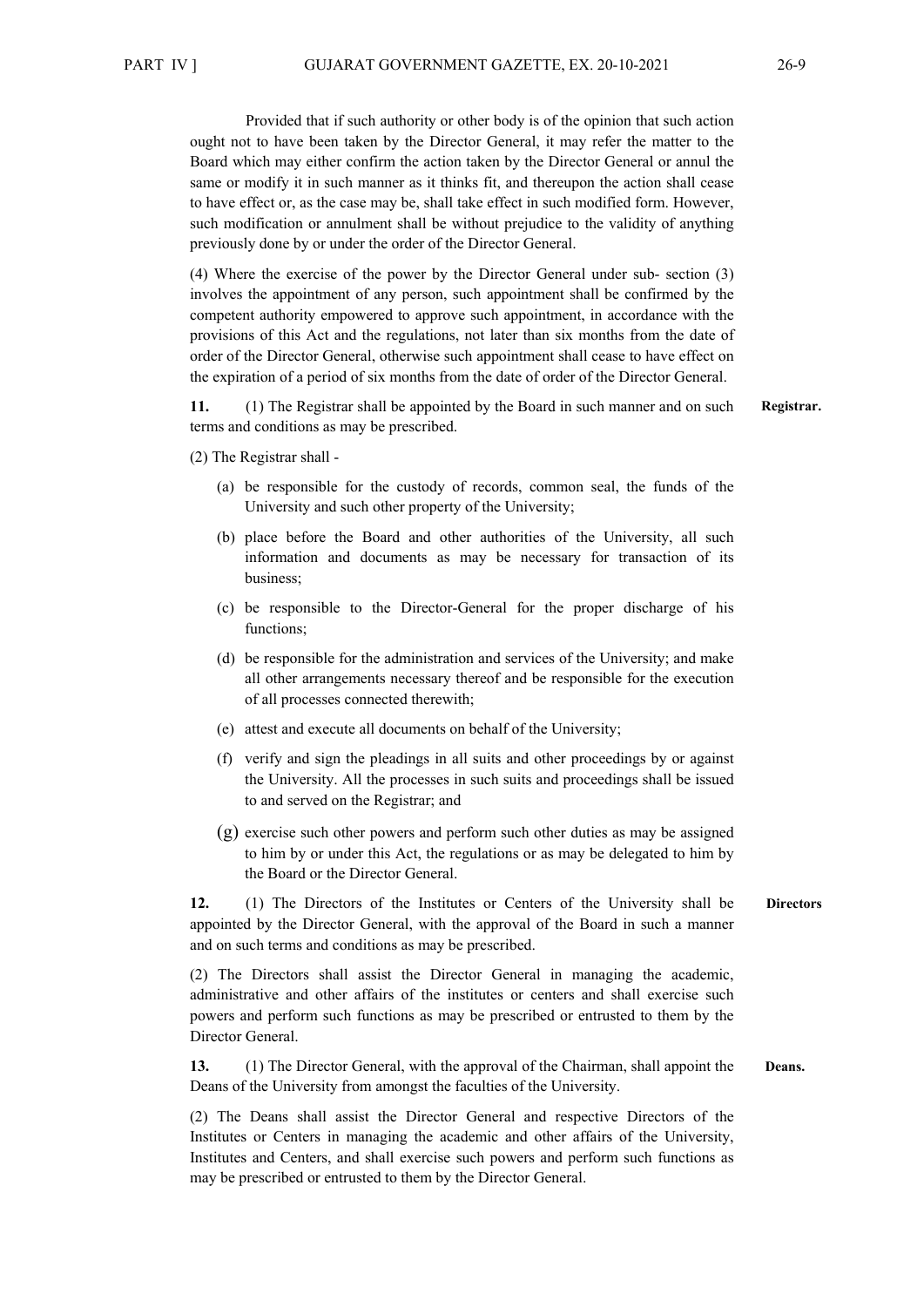Provided that if such authority or other body is of the opinion that such action ought not to have been taken by the Director General, it may refer the matter to the Board which may either confirm the action taken by the Director General or annul the same or modify it in such manner as it thinks fit, and thereupon the action shall cease to have effect or, as the case may be, shall take effect in such modified form. However, such modification or annulment shall be without prejudice to the validity of anything previously done by or under the order of the Director General.

(4) Where the exercise of the power by the Director General under sub- section (3) involves the appointment of any person, such appointment shall be confirmed by the competent authority empowered to approve such appointment, in accordance with the provisions of this Act and the regulations, not later than six months from the date of order of the Director General, otherwise such appointment shall cease to have effect on the expiration of a period of six months from the date of order of the Director General.

**11.** (1) The Registrar shall be appointed by the Board in such manner and on such terms and conditions as may be prescribed.

- (2) The Registrar shall
	- (a) be responsible for the custody of records, common seal, the funds of the University and such other property of the University;
	- (b) place before the Board and other authorities of the University, all such information and documents as may be necessary for transaction of its business;
	- (c) be responsible to the Director-General for the proper discharge of his functions;
	- (d) be responsible for the administration and services of the University; and make all other arrangements necessary thereof and be responsible for the execution of all processes connected therewith;
	- (e) attest and execute all documents on behalf of the University;
	- (f) verify and sign the pleadings in all suits and other proceedings by or against the University. All the processes in such suits and proceedings shall be issued to and served on the Registrar; and
	- (g) exercise such other powers and perform such other duties as may be assigned to him by or under this Act, the regulations or as may be delegated to him by the Board or the Director General.

**12.** (1) The Directors of the Institutes or Centers of the University shall be appointed by the Director General, with the approval of the Board in such a manner and on such terms and conditions as may be prescribed. **Directors**

(2) The Directors shall assist the Director General in managing the academic, administrative and other affairs of the institutes or centers and shall exercise such powers and perform such functions as may be prescribed or entrusted to them by the Director General.

**13.** (1) The Director General, with the approval of the Chairman, shall appoint the Deans of the University from amongst the faculties of the University. **Deans.**

(2) The Deans shall assist the Director General and respective Directors of the Institutes or Centers in managing the academic and other affairs of the University, Institutes and Centers, and shall exercise such powers and perform such functions as may be prescribed or entrusted to them by the Director General.

**Registrar.**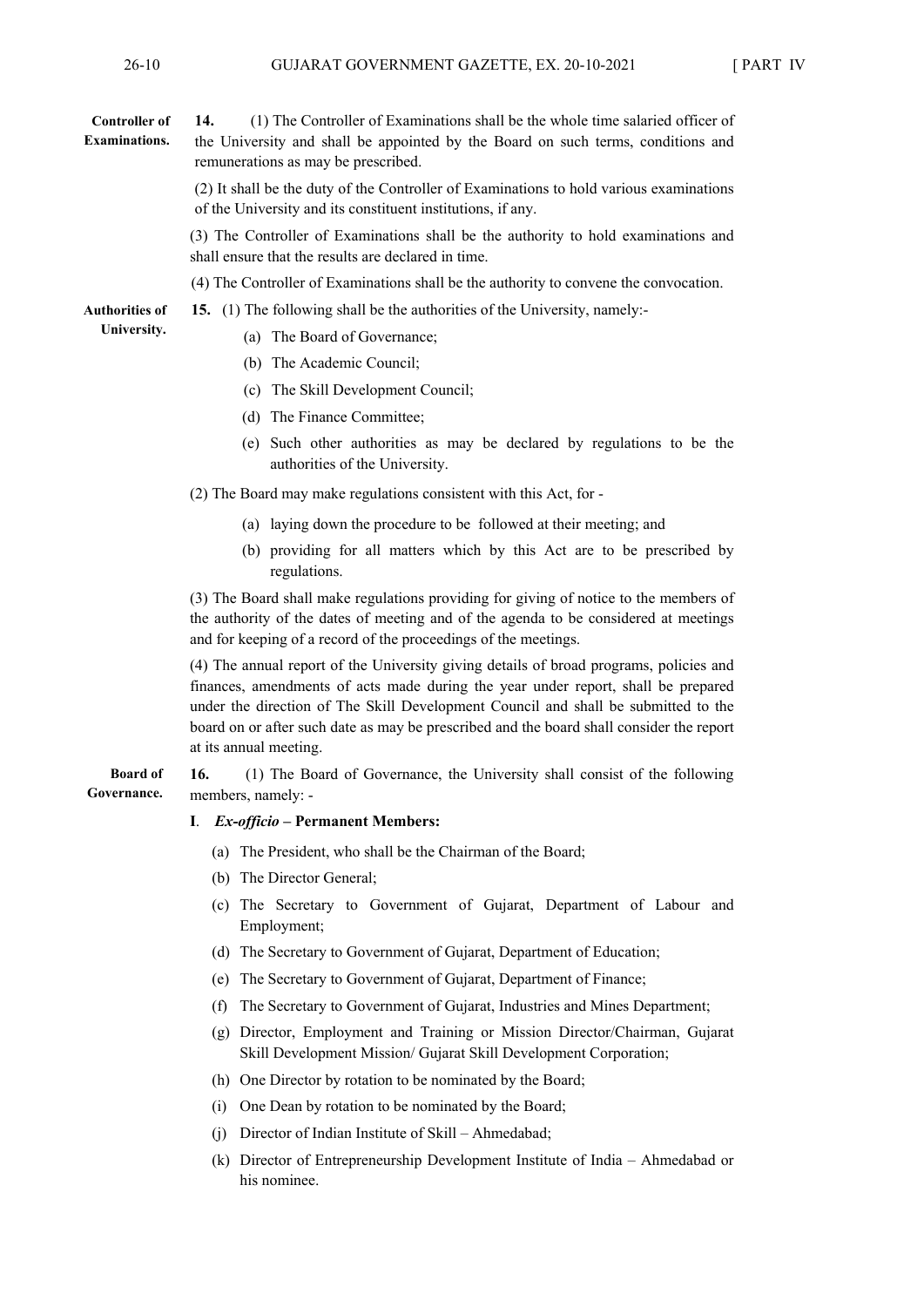#### **14.** (1) The Controller of Examinations shall be the whole time salaried officer of the University and shall be appointed by the Board on such terms, conditions and remunerations as may be prescribed. **Controller of Examinations.**

(2) It shall be the duty of the Controller of Examinations to hold various examinations of the University and its constituent institutions, if any.

(3) The Controller of Examinations shall be the authority to hold examinations and shall ensure that the results are declared in time.

(4) The Controller of Examinations shall be the authority to convene the convocation.

**15.** (1) The following shall be the authorities of the University, namely:-

- **Authorities of University.**
- (a) The Board of Governance;
- (b) The Academic Council;
- (c) The Skill Development Council;
- (d) The Finance Committee;
- (e) Such other authorities as may be declared by regulations to be the authorities of the University.

(2) The Board may make regulations consistent with this Act, for -

- (a) laying down the procedure to be followed at their meeting; and
- (b) providing for all matters which by this Act are to be prescribed by regulations.

(3) The Board shall make regulations providing for giving of notice to the members of the authority of the dates of meeting and of the agenda to be considered at meetings and for keeping of a record of the proceedings of the meetings.

(4) The annual report of the University giving details of broad programs, policies and finances, amendments of acts made during the year under report, shall be prepared under the direction of The Skill Development Council and shall be submitted to the board on or after such date as may be prescribed and the board shall consider the report at its annual meeting.

**16.** (1) The Board of Governance, the University shall consist of the following members, namely: - **Board of Governance.**

#### **I**. *Ex-officio* **– Permanent Members:**

- (a) The President, who shall be the Chairman of the Board;
- (b) The Director General;
- (c) The Secretary to Government of Gujarat, Department of Labour and Employment;
- (d) The Secretary to Government of Gujarat, Department of Education;
- (e) The Secretary to Government of Gujarat, Department of Finance;
- (f) The Secretary to Government of Gujarat, Industries and Mines Department;
- (g) Director, Employment and Training or Mission Director/Chairman, Gujarat Skill Development Mission/ Gujarat Skill Development Corporation;
- (h) One Director by rotation to be nominated by the Board;
- (i) One Dean by rotation to be nominated by the Board;
- (j) Director of Indian Institute of Skill Ahmedabad;
- (k) Director of Entrepreneurship Development Institute of India Ahmedabad or his nominee.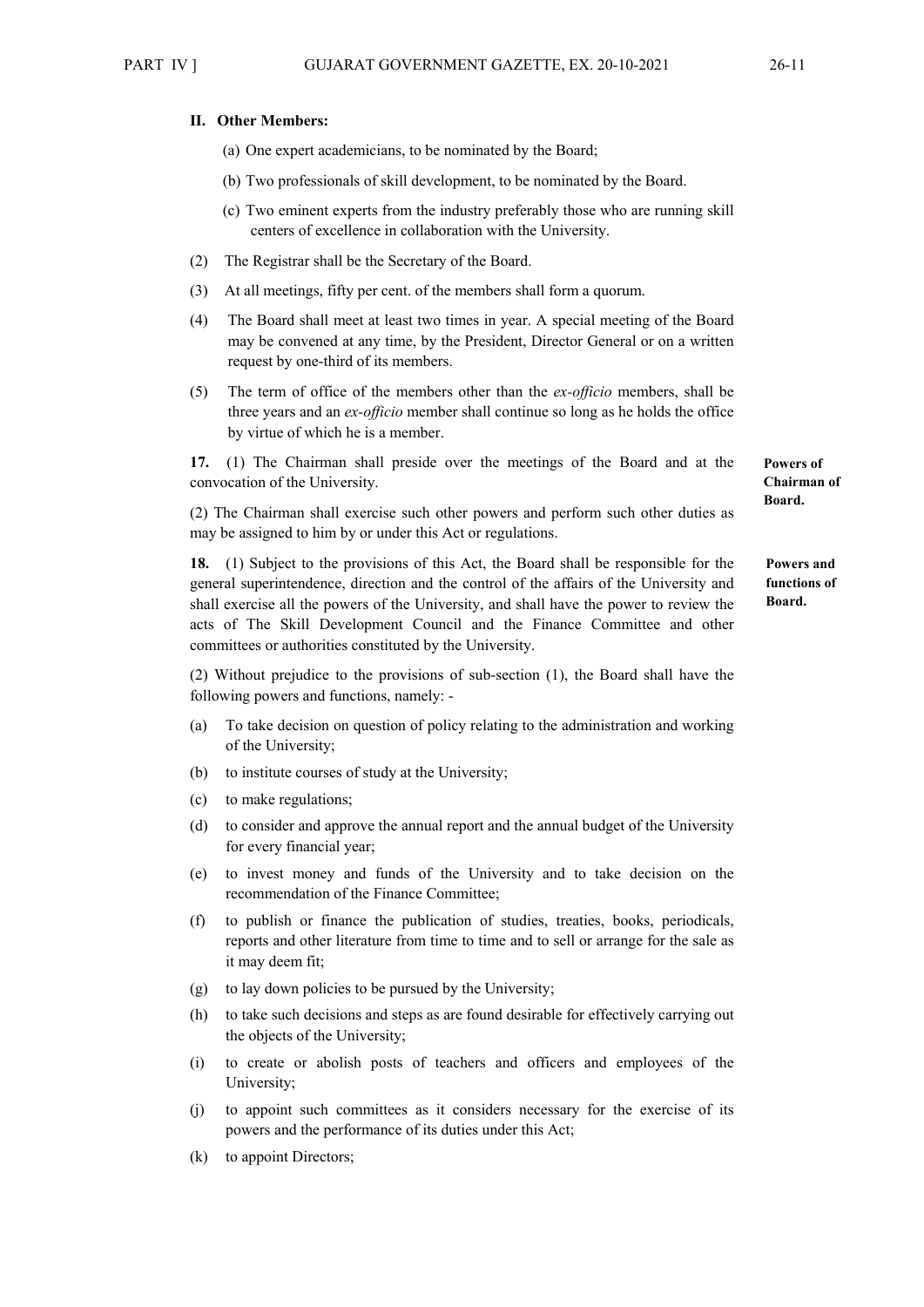#### **II. Other Members:**

- (a) One expert academicians, to be nominated by the Board;
- (b) Two professionals of skill development, to be nominated by the Board.
- (c) Two eminent experts from the industry preferably those who are running skill centers of excellence in collaboration with the University.
- (2) The Registrar shall be the Secretary of the Board.
- (3) At all meetings, fifty per cent. of the members shall form a quorum.
- (4) The Board shall meet at least two times in year. A special meeting of the Board may be convened at any time, by the President, Director General or on a written request by one-third of its members.
- (5) The term of office of the members other than the *ex-officio* members, shall be three years and an *ex-officio* member shall continue so long as he holds the office by virtue of which he is a member.

**17.** (1) The Chairman shall preside over the meetings of the Board and at the convocation of the University.

(2) The Chairman shall exercise such other powers and perform such other duties as may be assigned to him by or under this Act or regulations.

**18.** (1) Subject to the provisions of this Act, the Board shall be responsible for the general superintendence, direction and the control of the affairs of the University and shall exercise all the powers of the University, and shall have the power to review the acts of The Skill Development Council and the Finance Committee and other committees or authorities constituted by the University.

(2) Without prejudice to the provisions of sub-section (1), the Board shall have the following powers and functions, namely: -

- (a) To take decision on question of policy relating to the administration and working of the University;
- (b) to institute courses of study at the University;
- (c) to make regulations;
- (d) to consider and approve the annual report and the annual budget of the University for every financial year;
- (e) to invest money and funds of the University and to take decision on the recommendation of the Finance Committee;
- (f) to publish or finance the publication of studies, treaties, books, periodicals, reports and other literature from time to time and to sell or arrange for the sale as it may deem fit;
- (g) to lay down policies to be pursued by the University;
- (h) to take such decisions and steps as are found desirable for effectively carrying out the objects of the University;
- (i) to create or abolish posts of teachers and officers and employees of the University;
- (j) to appoint such committees as it considers necessary for the exercise of its powers and the performance of its duties under this Act;
- (k) to appoint Directors;

**Powers of Chairman of Board.** 

**Powers and functions of Board.**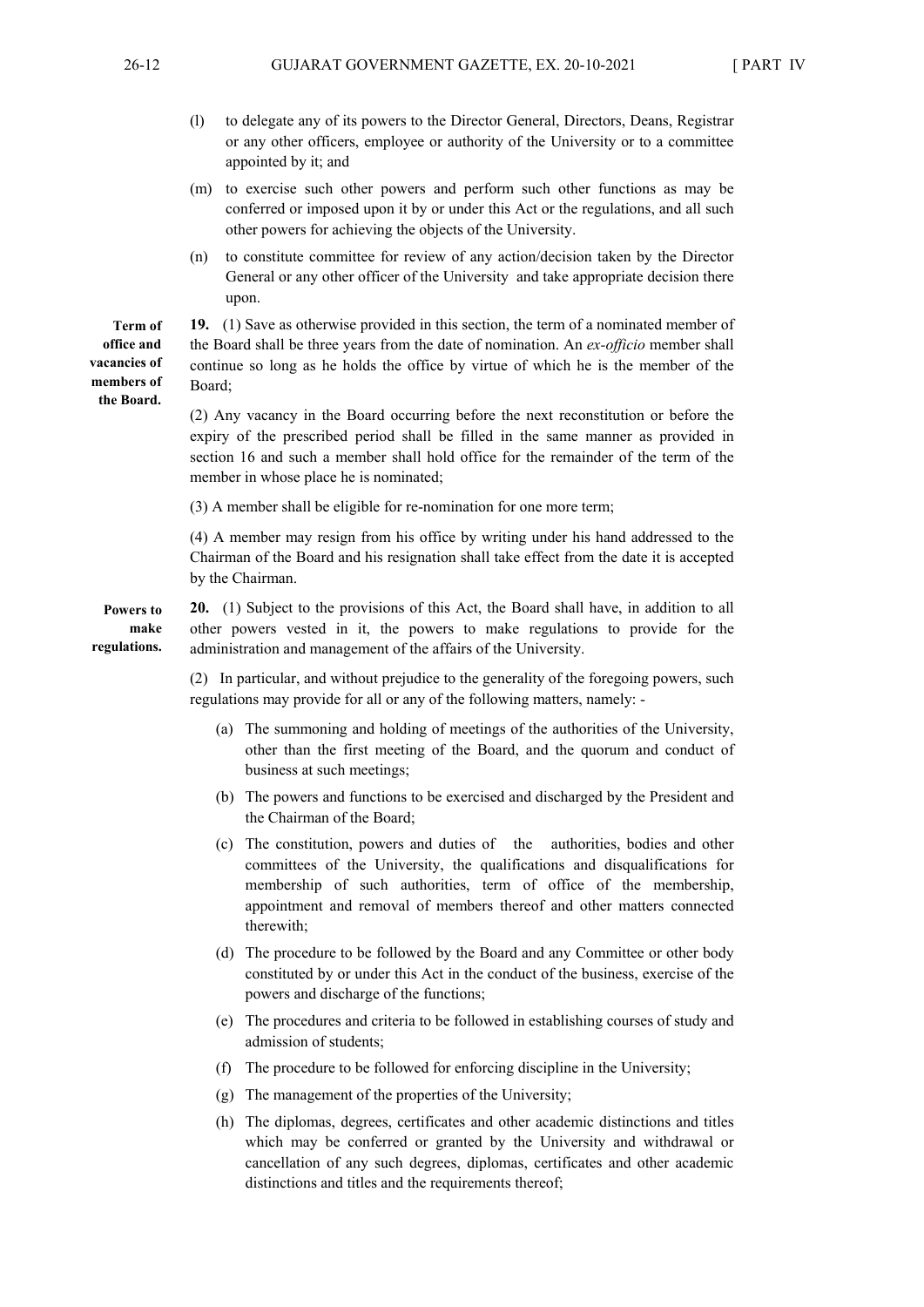- (l) to delegate any of its powers to the Director General, Directors, Deans, Registrar or any other officers, employee or authority of the University or to a committee appointed by it; and
- (m) to exercise such other powers and perform such other functions as may be conferred or imposed upon it by or under this Act or the regulations, and all such other powers for achieving the objects of the University.
- (n) to constitute committee for review of any action/decision taken by the Director General or any other officer of the University and take appropriate decision there upon.

**19.** (1) Save as otherwise provided in this section, the term of a nominated member of the Board shall be three years from the date of nomination. An *ex-officio* member shall continue so long as he holds the office by virtue of which he is the member of the Board;

(2) Any vacancy in the Board occurring before the next reconstitution or before the expiry of the prescribed period shall be filled in the same manner as provided in section 16 and such a member shall hold office for the remainder of the term of the member in whose place he is nominated;

(3) A member shall be eligible for re-nomination for one more term;

(4) A member may resign from his office by writing under his hand addressed to the Chairman of the Board and his resignation shall take effect from the date it is accepted by the Chairman.

**20.** (1) Subject to the provisions of this Act, the Board shall have, in addition to all other powers vested in it, the powers to make regulations to provide for the administration and management of the affairs of the University. **Powers to make regulations.** 

> (2) In particular, and without prejudice to the generality of the foregoing powers, such regulations may provide for all or any of the following matters, namely: -

- (a) The summoning and holding of meetings of the authorities of the University, other than the first meeting of the Board, and the quorum and conduct of business at such meetings;
- (b) The powers and functions to be exercised and discharged by the President and the Chairman of the Board;
- (c) The constitution, powers and duties of the authorities, bodies and other committees of the University, the qualifications and disqualifications for membership of such authorities, term of office of the membership, appointment and removal of members thereof and other matters connected therewith;
- (d) The procedure to be followed by the Board and any Committee or other body constituted by or under this Act in the conduct of the business, exercise of the powers and discharge of the functions;
- (e) The procedures and criteria to be followed in establishing courses of study and admission of students;
- (f) The procedure to be followed for enforcing discipline in the University;
- (g) The management of the properties of the University;
- (h) The diplomas, degrees, certificates and other academic distinctions and titles which may be conferred or granted by the University and withdrawal or cancellation of any such degrees, diplomas, certificates and other academic distinctions and titles and the requirements thereof;

**Term of office and vacancies of members of the Board.**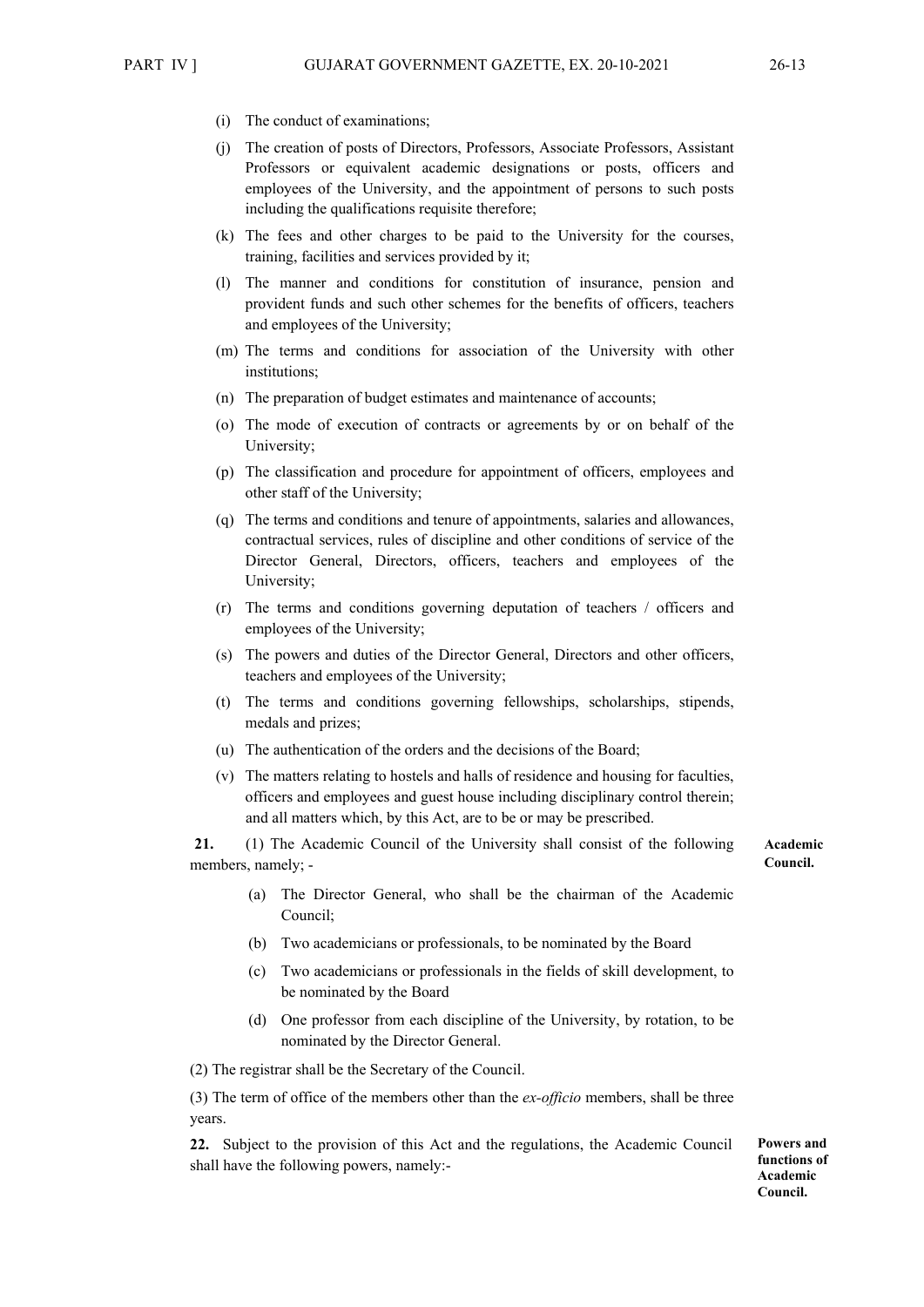- (i) The conduct of examinations;
- (j) The creation of posts of Directors, Professors, Associate Professors, Assistant Professors or equivalent academic designations or posts, officers and employees of the University, and the appointment of persons to such posts including the qualifications requisite therefore;
- (k) The fees and other charges to be paid to the University for the courses, training, facilities and services provided by it;
- (l) The manner and conditions for constitution of insurance, pension and provident funds and such other schemes for the benefits of officers, teachers and employees of the University;
- (m) The terms and conditions for association of the University with other institutions;
- (n) The preparation of budget estimates and maintenance of accounts;
- (o) The mode of execution of contracts or agreements by or on behalf of the University;
- (p) The classification and procedure for appointment of officers, employees and other staff of the University;
- (q) The terms and conditions and tenure of appointments, salaries and allowances, contractual services, rules of discipline and other conditions of service of the Director General, Directors, officers, teachers and employees of the University;
- (r) The terms and conditions governing deputation of teachers / officers and employees of the University;
- (s) The powers and duties of the Director General, Directors and other officers, teachers and employees of the University;
- (t) The terms and conditions governing fellowships, scholarships, stipends, medals and prizes;
- (u) The authentication of the orders and the decisions of the Board;
- (v) The matters relating to hostels and halls of residence and housing for faculties, officers and employees and guest house including disciplinary control therein; and all matters which, by this Act, are to be or may be prescribed.

**21.** (1) The Academic Council of the University shall consist of the following members, namely; -

- **Academic Council.**
- (a) The Director General, who shall be the chairman of the Academic Council;
- (b) Two academicians or professionals, to be nominated by the Board
- (c) Two academicians or professionals in the fields of skill development, to be nominated by the Board
- (d) One professor from each discipline of the University, by rotation, to be nominated by the Director General.

(2) The registrar shall be the Secretary of the Council.

(3) The term of office of the members other than the *ex-officio* members, shall be three years.

**22.** Subject to the provision of this Act and the regulations, the Academic Council shall have the following powers, namely:-

**Powers and functions of Academic Council.**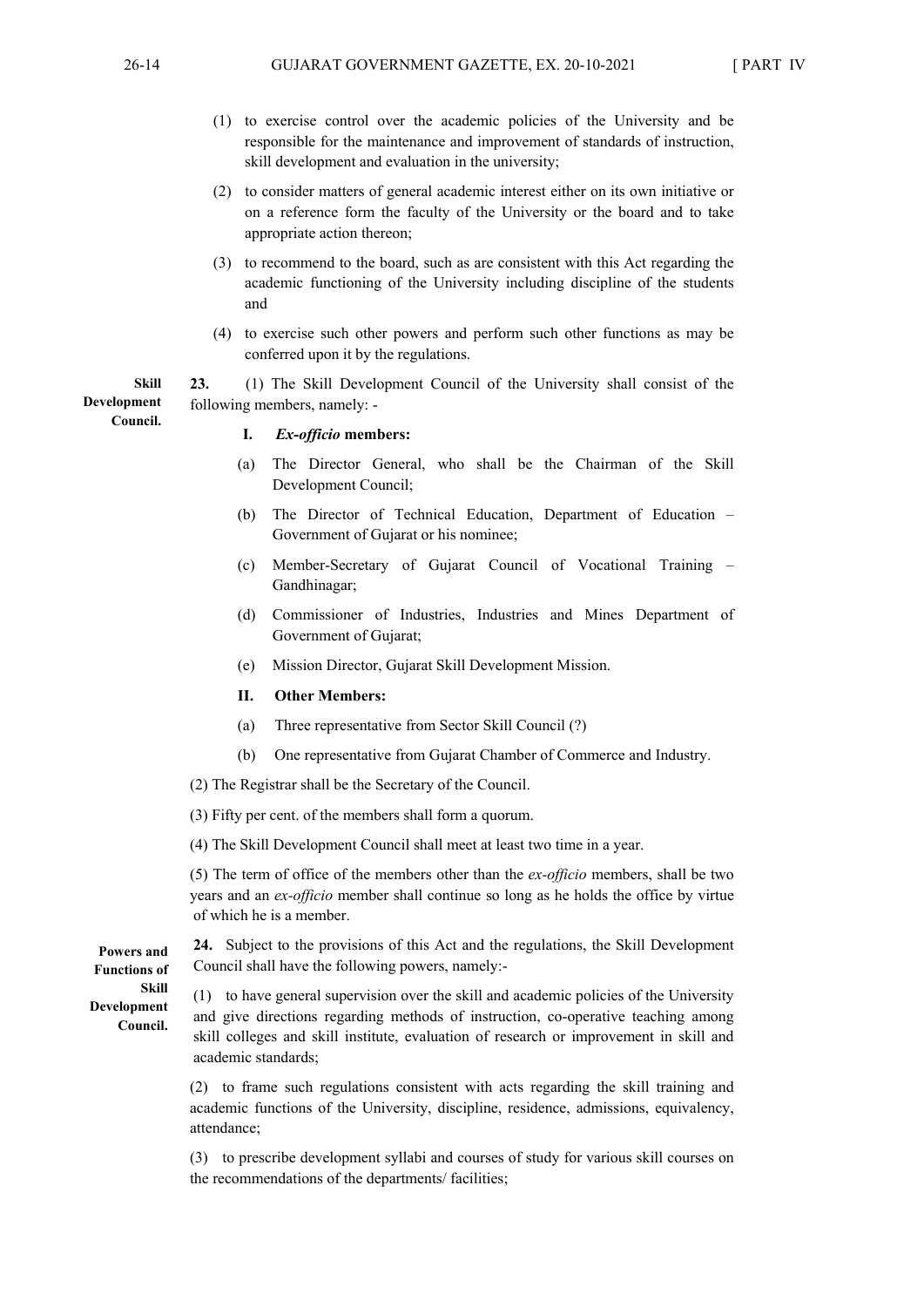- (1) to exercise control over the academic policies of the University and be responsible for the maintenance and improvement of standards of instruction, skill development and evaluation in the university;
- (2) to consider matters of general academic interest either on its own initiative or on a reference form the faculty of the University or the board and to take appropriate action thereon;
- (3) to recommend to the board, such as are consistent with this Act regarding the academic functioning of the University including discipline of the students and
- (4) to exercise such other powers and perform such other functions as may be conferred upon it by the regulations.

**23.** (1) The Skill Development Council of the University shall consist of the following members, namely: -

**I.** *Ex-officio* **members:** 

- (a) The Director General, who shall be the Chairman of the Skill Development Council;
- (b) The Director of Technical Education, Department of Education Government of Gujarat or his nominee;
- (c) Member-Secretary of Gujarat Council of Vocational Training Gandhinagar;
- (d) Commissioner of Industries, Industries and Mines Department of Government of Gujarat;
- (e) Mission Director, Gujarat Skill Development Mission.
- **II. Other Members:**
- (a) Three representative from Sector Skill Council (?)
- (b) One representative from Gujarat Chamber of Commerce and Industry.
- (2) The Registrar shall be the Secretary of the Council.
- (3) Fifty per cent. of the members shall form a quorum.

(4) The Skill Development Council shall meet at least two time in a year.

(5) The term of office of the members other than the *ex-officio* members, shall be two years and an *ex-officio* member shall continue so long as he holds the office by virtue of which he is a member.

**Powers and Functions of Skill Development Council.** 

**24.** Subject to the provisions of this Act and the regulations, the Skill Development Council shall have the following powers, namely:-

(1) to have general supervision over the skill and academic policies of the University and give directions regarding methods of instruction, co-operative teaching among skill colleges and skill institute, evaluation of research or improvement in skill and academic standards;

(2) to frame such regulations consistent with acts regarding the skill training and academic functions of the University, discipline, residence, admissions, equivalency, attendance;

(3) to prescribe development syllabi and courses of study for various skill courses on the recommendations of the departments/ facilities;

**Skill Development Council.**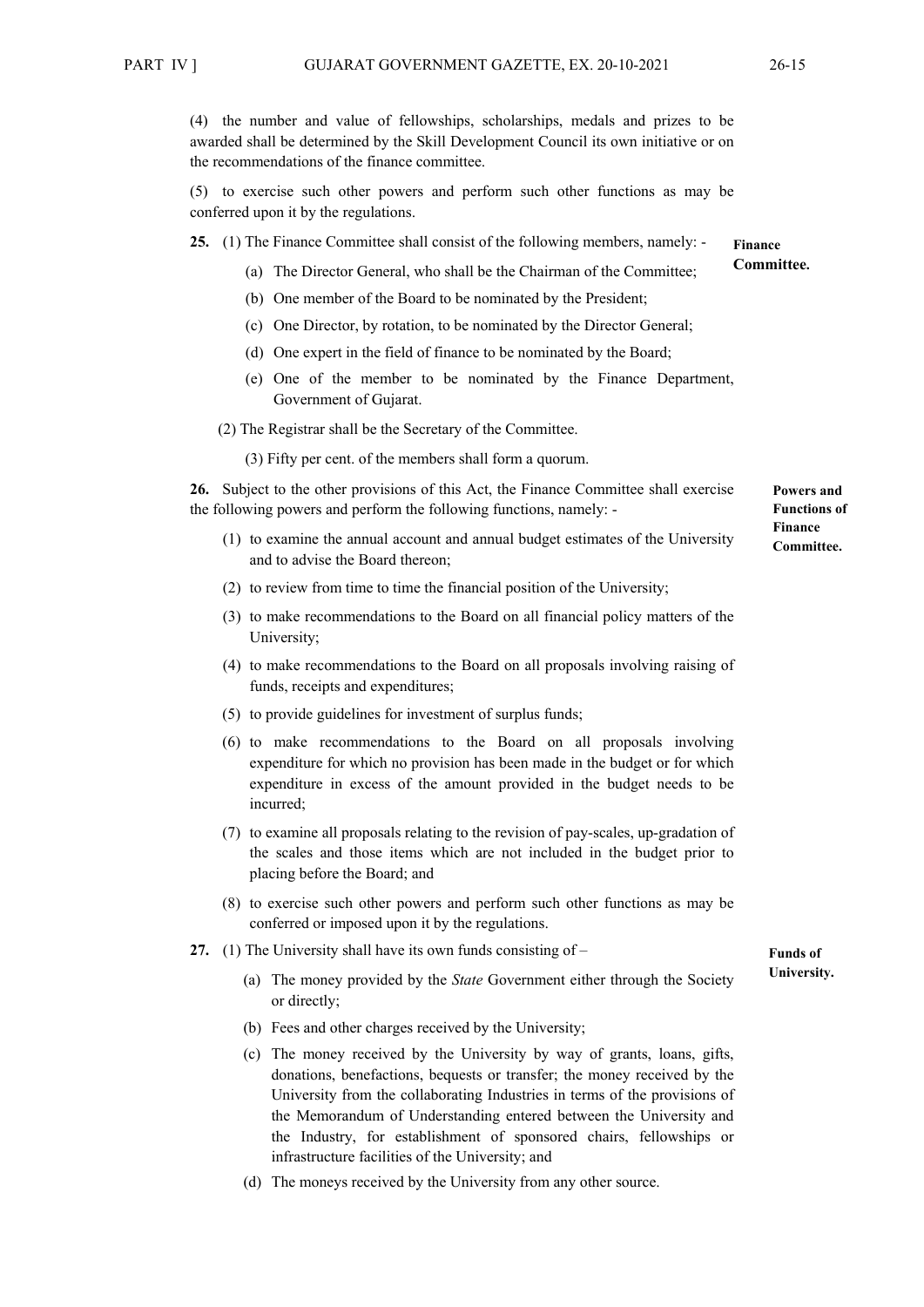(4) the number and value of fellowships, scholarships, medals and prizes to be awarded shall be determined by the Skill Development Council its own initiative or on the recommendations of the finance committee.

(5) to exercise such other powers and perform such other functions as may be conferred upon it by the regulations.

**25.** (1) The Finance Committee shall consist of the following members, namely: - **Finance** 

- (a) The Director General, who shall be the Chairman of the Committee;
- (b) One member of the Board to be nominated by the President;
- (c) One Director, by rotation, to be nominated by the Director General;
- (d) One expert in the field of finance to be nominated by the Board;
- (e) One of the member to be nominated by the Finance Department, Government of Gujarat.
- (2) The Registrar shall be the Secretary of the Committee.

(3) Fifty per cent. of the members shall form a quorum.

**26.** Subject to the other provisions of this Act, the Finance Committee shall exercise the following powers and perform the following functions, namely: - **Powers and Functions of** 

- (1) to examine the annual account and annual budget estimates of the University and to advise the Board thereon;
- (2) to review from time to time the financial position of the University;
- (3) to make recommendations to the Board on all financial policy matters of the University;
- (4) to make recommendations to the Board on all proposals involving raising of funds, receipts and expenditures;
- (5) to provide guidelines for investment of surplus funds;
- (6) to make recommendations to the Board on all proposals involving expenditure for which no provision has been made in the budget or for which expenditure in excess of the amount provided in the budget needs to be incurred;
- (7) to examine all proposals relating to the revision of pay-scales, up-gradation of the scales and those items which are not included in the budget prior to placing before the Board; and
- (8) to exercise such other powers and perform such other functions as may be conferred or imposed upon it by the regulations.
- **27.** (1) The University shall have its own funds consisting of
	- (a) The money provided by the *State* Government either through the Society or directly;
	- (b) Fees and other charges received by the University;
	- (c) The money received by the University by way of grants, loans, gifts, donations, benefactions, bequests or transfer; the money received by the University from the collaborating Industries in terms of the provisions of the Memorandum of Understanding entered between the University and the Industry, for establishment of sponsored chairs, fellowships or infrastructure facilities of the University; and
	- (d) The moneys received by the University from any other source.

**Committee.**

**Finance Committee.**

**Funds of University.**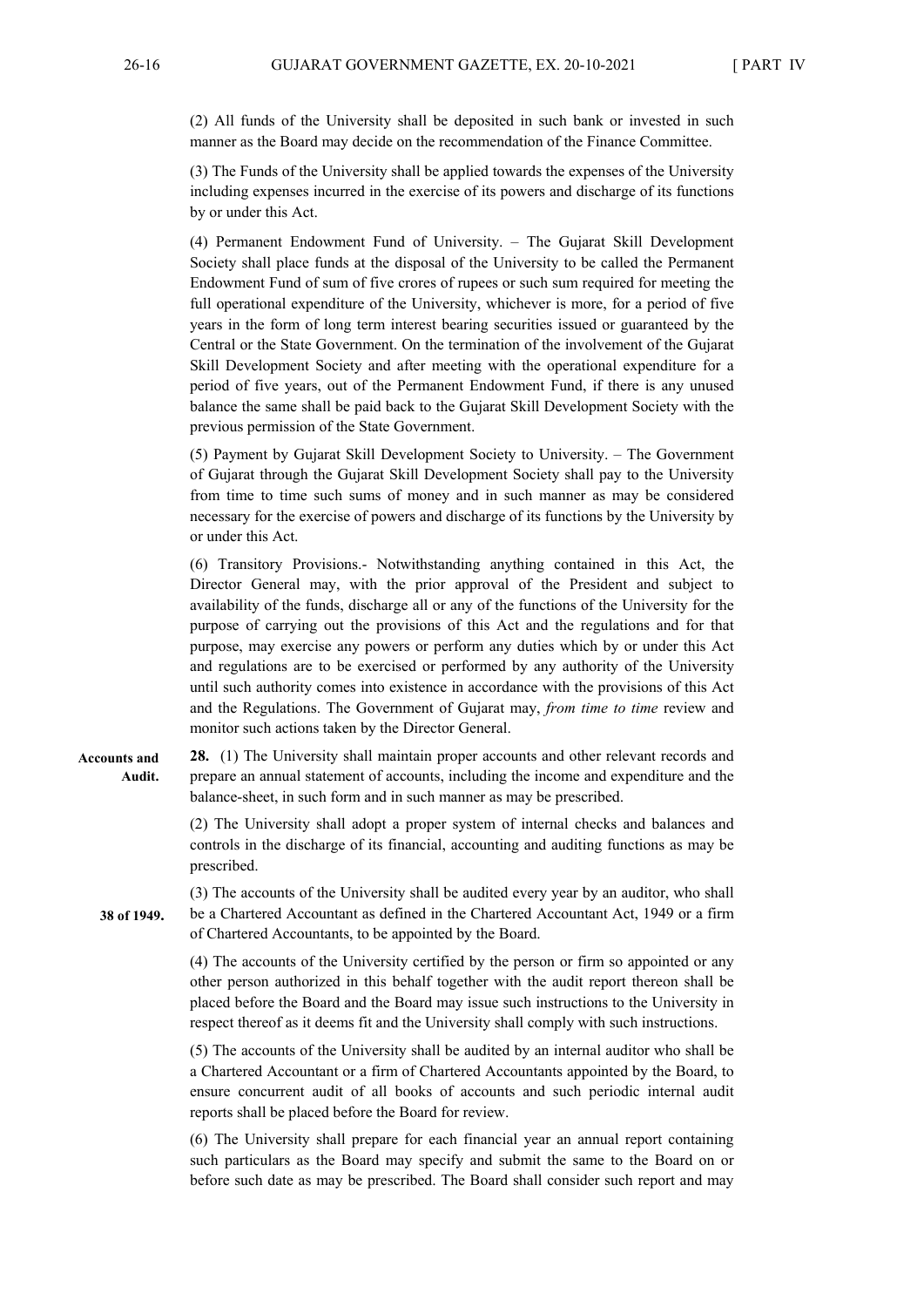(2) All funds of the University shall be deposited in such bank or invested in such manner as the Board may decide on the recommendation of the Finance Committee.

(3) The Funds of the University shall be applied towards the expenses of the University including expenses incurred in the exercise of its powers and discharge of its functions by or under this Act.

(4) Permanent Endowment Fund of University. – The Gujarat Skill Development Society shall place funds at the disposal of the University to be called the Permanent Endowment Fund of sum of five crores of rupees or such sum required for meeting the full operational expenditure of the University, whichever is more, for a period of five years in the form of long term interest bearing securities issued or guaranteed by the Central or the State Government. On the termination of the involvement of the Gujarat Skill Development Society and after meeting with the operational expenditure for a period of five years, out of the Permanent Endowment Fund, if there is any unused balance the same shall be paid back to the Gujarat Skill Development Society with the previous permission of the State Government.

(5) Payment by Gujarat Skill Development Society to University. – The Government of Gujarat through the Gujarat Skill Development Society shall pay to the University from time to time such sums of money and in such manner as may be considered necessary for the exercise of powers and discharge of its functions by the University by or under this Act.

(6) Transitory Provisions.- Notwithstanding anything contained in this Act, the Director General may, with the prior approval of the President and subject to availability of the funds, discharge all or any of the functions of the University for the purpose of carrying out the provisions of this Act and the regulations and for that purpose, may exercise any powers or perform any duties which by or under this Act and regulations are to be exercised or performed by any authority of the University until such authority comes into existence in accordance with the provisions of this Act and the Regulations. The Government of Gujarat may, *from time to time* review and monitor such actions taken by the Director General.

**28.** (1) The University shall maintain proper accounts and other relevant records and prepare an annual statement of accounts, including the income and expenditure and the balance-sheet, in such form and in such manner as may be prescribed. **Accounts and Audit.** 

> (2) The University shall adopt a proper system of internal checks and balances and controls in the discharge of its financial, accounting and auditing functions as may be prescribed.

(3) The accounts of the University shall be audited every year by an auditor, who shall be a Chartered Accountant as defined in the Chartered Accountant Act, 1949 or a firm of Chartered Accountants, to be appointed by the Board. **38 of 1949.** 

> (4) The accounts of the University certified by the person or firm so appointed or any other person authorized in this behalf together with the audit report thereon shall be placed before the Board and the Board may issue such instructions to the University in respect thereof as it deems fit and the University shall comply with such instructions.

> (5) The accounts of the University shall be audited by an internal auditor who shall be a Chartered Accountant or a firm of Chartered Accountants appointed by the Board, to ensure concurrent audit of all books of accounts and such periodic internal audit reports shall be placed before the Board for review.

> (6) The University shall prepare for each financial year an annual report containing such particulars as the Board may specify and submit the same to the Board on or before such date as may be prescribed. The Board shall consider such report and may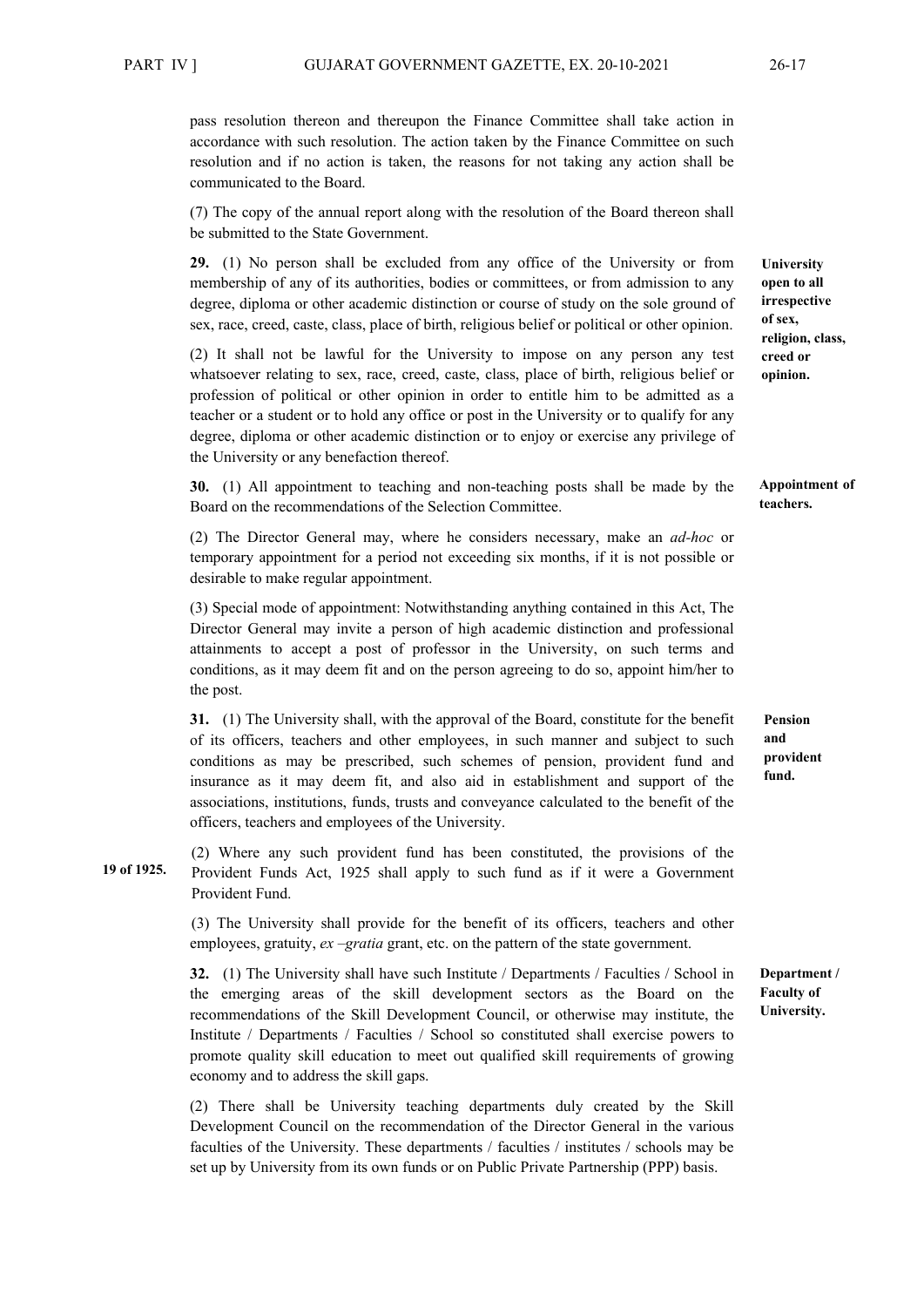pass resolution thereon and thereupon the Finance Committee shall take action in accordance with such resolution. The action taken by the Finance Committee on such resolution and if no action is taken, the reasons for not taking any action shall be communicated to the Board.

(7) The copy of the annual report along with the resolution of the Board thereon shall be submitted to the State Government.

**29.** (1) No person shall be excluded from any office of the University or from membership of any of its authorities, bodies or committees, or from admission to any degree, diploma or other academic distinction or course of study on the sole ground of sex, race, creed, caste, class, place of birth, religious belief or political or other opinion.

(2) It shall not be lawful for the University to impose on any person any test whatsoever relating to sex, race, creed, caste, class, place of birth, religious belief or profession of political or other opinion in order to entitle him to be admitted as a teacher or a student or to hold any office or post in the University or to qualify for any degree, diploma or other academic distinction or to enjoy or exercise any privilege of the University or any benefaction thereof.

**30.** (1) All appointment to teaching and non-teaching posts shall be made by the Board on the recommendations of the Selection Committee.

(2) The Director General may, where he considers necessary, make an *ad-hoc* or temporary appointment for a period not exceeding six months, if it is not possible or desirable to make regular appointment.

(3) Special mode of appointment: Notwithstanding anything contained in this Act, The Director General may invite a person of high academic distinction and professional attainments to accept a post of professor in the University, on such terms and conditions, as it may deem fit and on the person agreeing to do so, appoint him/her to the post.

**31.** (1) The University shall, with the approval of the Board, constitute for the benefit of its officers, teachers and other employees, in such manner and subject to such conditions as may be prescribed, such schemes of pension, provident fund and insurance as it may deem fit, and also aid in establishment and support of the associations, institutions, funds, trusts and conveyance calculated to the benefit of the officers, teachers and employees of the University.

(2) Where any such provident fund has been constituted, the provisions of the Provident Funds Act, 1925 shall apply to such fund as if it were a Government Provident Fund. **19 of 1925.**

> (3) The University shall provide for the benefit of its officers, teachers and other employees, gratuity, *ex –gratia* grant, etc. on the pattern of the state government.

**32.** (1) The University shall have such Institute / Departments / Faculties / School in the emerging areas of the skill development sectors as the Board on the recommendations of the Skill Development Council, or otherwise may institute, the Institute / Departments / Faculties / School so constituted shall exercise powers to promote quality skill education to meet out qualified skill requirements of growing economy and to address the skill gaps.

(2) There shall be University teaching departments duly created by the Skill Development Council on the recommendation of the Director General in the various faculties of the University. These departments / faculties / institutes / schools may be set up by University from its own funds or on Public Private Partnership (PPP) basis.

**University open to all irrespective of sex, religion, class, creed or opinion.** 

#### **Appointment of teachers.**

**Pension and provident fund.** 

**Department / Faculty of University.**